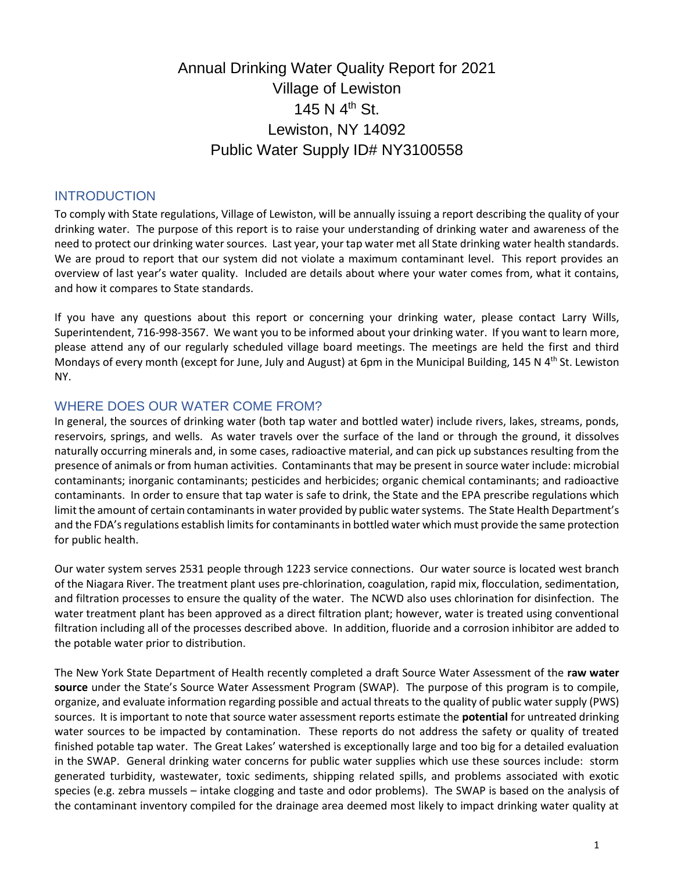# Annual Drinking Water Quality Report for 2021 Village of Lewiston 145 N 4th St. Lewiston, NY 14092 Public Water Supply ID# NY3100558

#### INTRODUCTION

To comply with State regulations, Village of Lewiston, will be annually issuing a report describing the quality of your drinking water. The purpose of this report is to raise your understanding of drinking water and awareness of the need to protect our drinking water sources. Last year, your tap water met all State drinking water health standards. We are proud to report that our system did not violate a maximum contaminant level. This report provides an overview of last year's water quality. Included are details about where your water comes from, what it contains, and how it compares to State standards.

If you have any questions about this report or concerning your drinking water, please contact Larry Wills, Superintendent, 716-998-3567. We want you to be informed about your drinking water. If you want to learn more, please attend any of our regularly scheduled village board meetings. The meetings are held the first and third Mondays of every month (except for June, July and August) at 6pm in the Municipal Building, 145 N 4<sup>th</sup> St. Lewiston NY.

#### WHERE DOES OUR WATER COME FROM?

In general, the sources of drinking water (both tap water and bottled water) include rivers, lakes, streams, ponds, reservoirs, springs, and wells. As water travels over the surface of the land or through the ground, it dissolves naturally occurring minerals and, in some cases, radioactive material, and can pick up substances resulting from the presence of animals or from human activities. Contaminants that may be present in source water include: microbial contaminants; inorganic contaminants; pesticides and herbicides; organic chemical contaminants; and radioactive contaminants. In order to ensure that tap water is safe to drink, the State and the EPA prescribe regulations which limit the amount of certain contaminants in water provided by public water systems. The State Health Department's and the FDA's regulations establish limits for contaminants in bottled water which must provide the same protection for public health.

Our water system serves 2531 people through 1223 service connections. Our water source is located west branch of the Niagara River. The treatment plant uses pre-chlorination, coagulation, rapid mix, flocculation, sedimentation, and filtration processes to ensure the quality of the water. The NCWD also uses chlorination for disinfection. The water treatment plant has been approved as a direct filtration plant; however, water is treated using conventional filtration including all of the processes described above. In addition, fluoride and a corrosion inhibitor are added to the potable water prior to distribution.

The New York State Department of Health recently completed a draft Source Water Assessment of the **raw water source** under the State's Source Water Assessment Program (SWAP). The purpose of this program is to compile, organize, and evaluate information regarding possible and actual threats to the quality of public water supply (PWS) sources. It is important to note that source water assessment reports estimate the **potential** for untreated drinking water sources to be impacted by contamination. These reports do not address the safety or quality of treated finished potable tap water. The Great Lakes' watershed is exceptionally large and too big for a detailed evaluation in the SWAP. General drinking water concerns for public water supplies which use these sources include: storm generated turbidity, wastewater, toxic sediments, shipping related spills, and problems associated with exotic species (e.g. zebra mussels – intake clogging and taste and odor problems). The SWAP is based on the analysis of the contaminant inventory compiled for the drainage area deemed most likely to impact drinking water quality at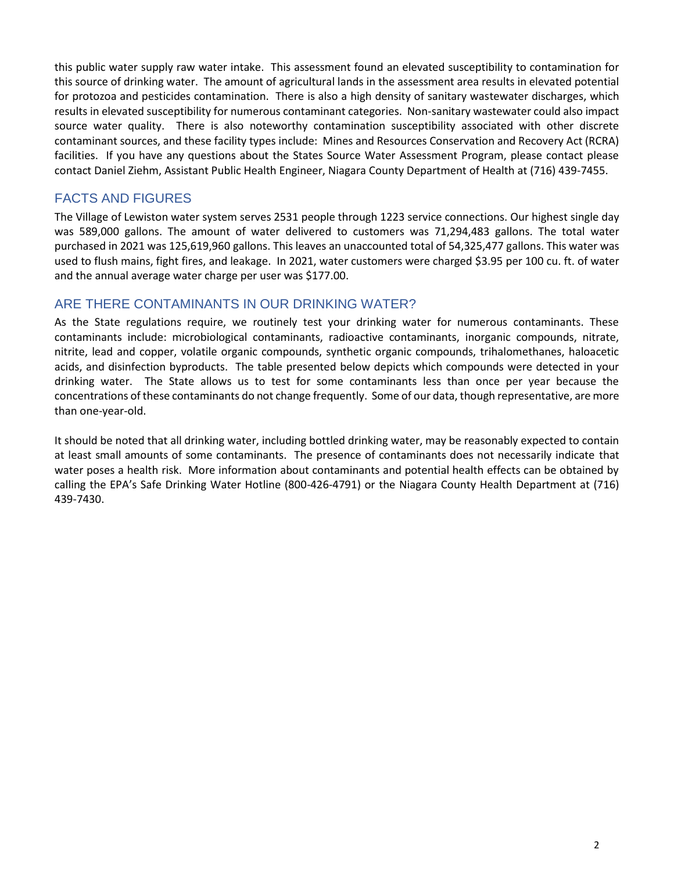this public water supply raw water intake. This assessment found an elevated susceptibility to contamination for this source of drinking water. The amount of agricultural lands in the assessment area results in elevated potential for protozoa and pesticides contamination. There is also a high density of sanitary wastewater discharges, which results in elevated susceptibility for numerous contaminant categories. Non-sanitary wastewater could also impact source water quality. There is also noteworthy contamination susceptibility associated with other discrete contaminant sources, and these facility types include: Mines and Resources Conservation and Recovery Act (RCRA) facilities. If you have any questions about the States Source Water Assessment Program, please contact please contact Daniel Ziehm, Assistant Public Health Engineer, Niagara County Department of Health at (716) 439-7455.

### FACTS AND FIGURES

The Village of Lewiston water system serves 2531 people through 1223 service connections. Our highest single day was 589,000 gallons. The amount of water delivered to customers was 71,294,483 gallons. The total water purchased in 2021 was 125,619,960 gallons. This leaves an unaccounted total of 54,325,477 gallons. This water was used to flush mains, fight fires, and leakage. In 2021, water customers were charged \$3.95 per 100 cu. ft. of water and the annual average water charge per user was \$177.00.

#### ARE THERE CONTAMINANTS IN OUR DRINKING WATER?

As the State regulations require, we routinely test your drinking water for numerous contaminants. These contaminants include: microbiological contaminants, radioactive contaminants, inorganic compounds, nitrate, nitrite, lead and copper, volatile organic compounds, synthetic organic compounds, trihalomethanes, haloacetic acids, and disinfection byproducts. The table presented below depicts which compounds were detected in your drinking water. The State allows us to test for some contaminants less than once per year because the concentrations of these contaminants do not change frequently. Some of our data, though representative, are more than one-year-old.

It should be noted that all drinking water, including bottled drinking water, may be reasonably expected to contain at least small amounts of some contaminants. The presence of contaminants does not necessarily indicate that water poses a health risk. More information about contaminants and potential health effects can be obtained by calling the EPA's Safe Drinking Water Hotline (800-426-4791) or the Niagara County Health Department at (716) 439-7430.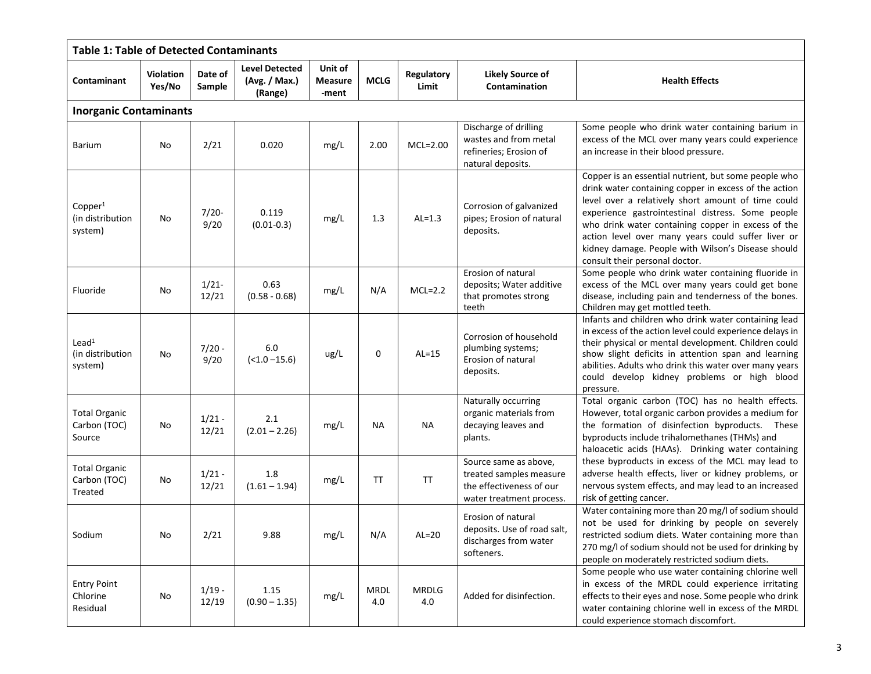| <b>Table 1: Table of Detected Contaminants</b>     |                     |                   |                                                   |                                    |                    |                            |                                                                                                          |                                                                                                                                                                                                                                                                                                                                                                                                                                                                    |  |
|----------------------------------------------------|---------------------|-------------------|---------------------------------------------------|------------------------------------|--------------------|----------------------------|----------------------------------------------------------------------------------------------------------|--------------------------------------------------------------------------------------------------------------------------------------------------------------------------------------------------------------------------------------------------------------------------------------------------------------------------------------------------------------------------------------------------------------------------------------------------------------------|--|
| Contaminant                                        | Violation<br>Yes/No | Date of<br>Sample | <b>Level Detected</b><br>(Avg. / Max.)<br>(Range) | Unit of<br><b>Measure</b><br>-ment | <b>MCLG</b>        | <b>Regulatory</b><br>Limit | <b>Likely Source of</b><br>Contamination                                                                 | <b>Health Effects</b>                                                                                                                                                                                                                                                                                                                                                                                                                                              |  |
| <b>Inorganic Contaminants</b>                      |                     |                   |                                                   |                                    |                    |                            |                                                                                                          |                                                                                                                                                                                                                                                                                                                                                                                                                                                                    |  |
| <b>Barium</b>                                      | No                  | 2/21              | 0.020                                             | mg/L                               | 2.00               | $MCL=2.00$                 | Discharge of drilling<br>wastes and from metal<br>refineries: Erosion of<br>natural deposits.            | Some people who drink water containing barium in<br>excess of the MCL over many years could experience<br>an increase in their blood pressure.                                                                                                                                                                                                                                                                                                                     |  |
| Copper <sup>1</sup><br>(in distribution<br>system) | No                  | $7/20-$<br>9/20   | 0.119<br>$(0.01 - 0.3)$                           | mg/L                               | 1.3                | $AL=1.3$                   | Corrosion of galvanized<br>pipes; Erosion of natural<br>deposits.                                        | Copper is an essential nutrient, but some people who<br>drink water containing copper in excess of the action<br>level over a relatively short amount of time could<br>experience gastrointestinal distress. Some people<br>who drink water containing copper in excess of the<br>action level over many years could suffer liver or<br>kidney damage. People with Wilson's Disease should<br>consult their personal doctor.                                       |  |
| Fluoride                                           | No                  | $1/21 -$<br>12/21 | 0.63<br>$(0.58 - 0.68)$                           | mg/L                               | N/A                | $MCL=2.2$                  | Erosion of natural<br>deposits; Water additive<br>that promotes strong<br>teeth                          | Some people who drink water containing fluoride in<br>excess of the MCL over many years could get bone<br>disease, including pain and tenderness of the bones.<br>Children may get mottled teeth.                                                                                                                                                                                                                                                                  |  |
| Lead <sup>1</sup><br>(in distribution<br>system)   | No                  | $7/20 -$<br>9/20  | 6.0<br>$($ < 1.0 - 15.6)                          | ug/L                               | 0                  | $AL=15$                    | Corrosion of household<br>plumbing systems;<br>Erosion of natural<br>deposits.                           | Infants and children who drink water containing lead<br>in excess of the action level could experience delays in<br>their physical or mental development. Children could<br>show slight deficits in attention span and learning<br>abilities. Adults who drink this water over many years<br>could develop kidney problems or high blood<br>pressure.                                                                                                              |  |
| <b>Total Organic</b><br>Carbon (TOC)<br>Source     | No                  | $1/21 -$<br>12/21 | 2.1<br>$(2.01 - 2.26)$                            | mg/L                               | ΝA                 | ΝA                         | Naturally occurring<br>organic materials from<br>decaying leaves and<br>plants.                          | Total organic carbon (TOC) has no health effects.<br>However, total organic carbon provides a medium for<br>the formation of disinfection byproducts. These<br>byproducts include trihalomethanes (THMs) and<br>haloacetic acids (HAAs). Drinking water containing<br>these byproducts in excess of the MCL may lead to<br>adverse health effects, liver or kidney problems, or<br>nervous system effects, and may lead to an increased<br>risk of getting cancer. |  |
| <b>Total Organic</b><br>Carbon (TOC)<br>Treated    | No                  | $1/21 -$<br>12/21 | 1.8<br>$(1.61 - 1.94)$                            | mg/L                               | <b>TT</b>          | <b>TT</b>                  | Source same as above,<br>treated samples measure<br>the effectiveness of our<br>water treatment process. |                                                                                                                                                                                                                                                                                                                                                                                                                                                                    |  |
| Sodium                                             | No                  | 2/21              | 9.88                                              | mg/L                               | N/A                | $AL=20$                    | Erosion of natural<br>deposits. Use of road salt,<br>discharges from water<br>softeners.                 | Water containing more than 20 mg/l of sodium should<br>not be used for drinking by people on severely<br>restricted sodium diets. Water containing more than<br>270 mg/l of sodium should not be used for drinking by<br>people on moderately restricted sodium diets.                                                                                                                                                                                             |  |
| <b>Entry Point</b><br>Chlorine<br>Residual         | No                  | $1/19 -$<br>12/19 | 1.15<br>$(0.90 - 1.35)$                           | mg/L                               | <b>MRDL</b><br>4.0 | <b>MRDLG</b><br>4.0        | Added for disinfection.                                                                                  | Some people who use water containing chlorine well<br>in excess of the MRDL could experience irritating<br>effects to their eyes and nose. Some people who drink<br>water containing chlorine well in excess of the MRDL<br>could experience stomach discomfort.                                                                                                                                                                                                   |  |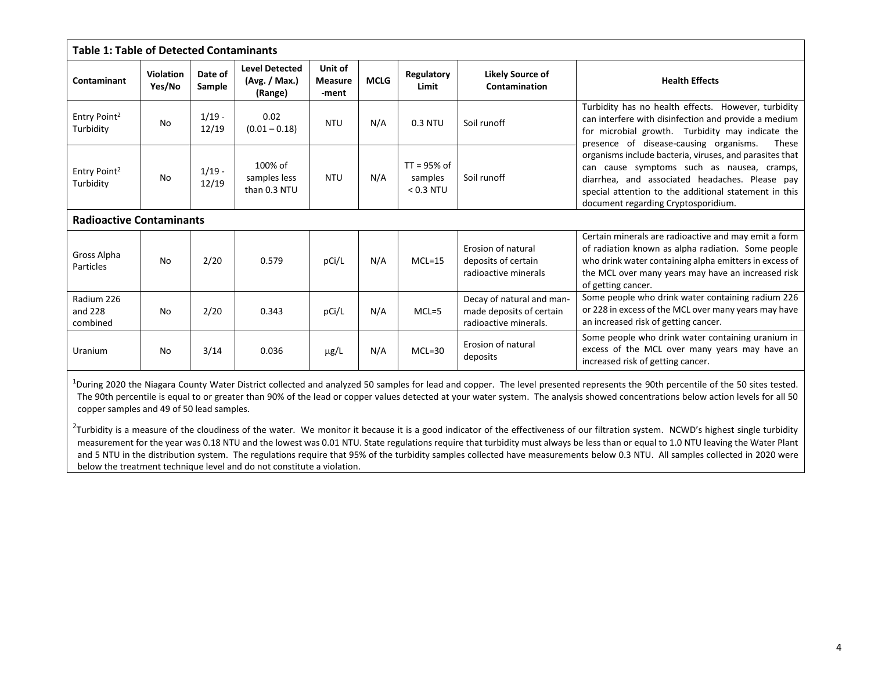| <b>Table 1: Table of Detected Contaminants</b> |                            |                   |                                                   |                                    |             |                                         |                                                                                |                                                                                                                                                                                                                                                                                                                                                                                                                                                                               |  |
|------------------------------------------------|----------------------------|-------------------|---------------------------------------------------|------------------------------------|-------------|-----------------------------------------|--------------------------------------------------------------------------------|-------------------------------------------------------------------------------------------------------------------------------------------------------------------------------------------------------------------------------------------------------------------------------------------------------------------------------------------------------------------------------------------------------------------------------------------------------------------------------|--|
| Contaminant                                    | <b>Violation</b><br>Yes/No | Date of<br>Sample | <b>Level Detected</b><br>(Avg. / Max.)<br>(Range) | Unit of<br><b>Measure</b><br>-ment | <b>MCLG</b> | Regulatory<br>Limit                     | <b>Likely Source of</b><br>Contamination                                       | <b>Health Effects</b>                                                                                                                                                                                                                                                                                                                                                                                                                                                         |  |
| Entry Point <sup>2</sup><br>Turbidity          | No                         | $1/19 -$<br>12/19 | 0.02<br>$(0.01 - 0.18)$                           | <b>NTU</b>                         | N/A         | $0.3$ NTU                               | Soil runoff                                                                    | Turbidity has no health effects. However, turbidity<br>can interfere with disinfection and provide a medium<br>for microbial growth. Turbidity may indicate the<br>presence of disease-causing organisms.<br>These<br>organisms include bacteria, viruses, and parasites that<br>can cause symptoms such as nausea, cramps,<br>diarrhea, and associated headaches. Please pay<br>special attention to the additional statement in this<br>document regarding Cryptosporidium. |  |
| Entry Point <sup>2</sup><br>Turbidity          | No                         | $1/19 -$<br>12/19 | 100% of<br>samples less<br>than 0.3 NTU           | <b>NTU</b>                         | N/A         | $TT = 95%$ of<br>samples<br>$< 0.3$ NTU | Soil runoff                                                                    |                                                                                                                                                                                                                                                                                                                                                                                                                                                                               |  |
| <b>Radioactive Contaminants</b>                |                            |                   |                                                   |                                    |             |                                         |                                                                                |                                                                                                                                                                                                                                                                                                                                                                                                                                                                               |  |
| Gross Alpha<br>Particles                       | <b>No</b>                  | 2/20              | 0.579                                             | pCi/L                              | N/A         | $MCL=15$                                | Erosion of natural<br>deposits of certain<br>radioactive minerals              | Certain minerals are radioactive and may emit a form<br>of radiation known as alpha radiation. Some people<br>who drink water containing alpha emitters in excess of<br>the MCL over many years may have an increased risk<br>of getting cancer.                                                                                                                                                                                                                              |  |
| Radium 226<br>and 228<br>combined              | <b>No</b>                  | 2/20              | 0.343                                             | pCi/L                              | N/A         | $MCL = 5$                               | Decay of natural and man-<br>made deposits of certain<br>radioactive minerals. | Some people who drink water containing radium 226<br>or 228 in excess of the MCL over many years may have<br>an increased risk of getting cancer.                                                                                                                                                                                                                                                                                                                             |  |
| Uranium                                        | No                         | 3/14              | 0.036                                             | µg/L                               | N/A         | $MCL=30$                                | Erosion of natural<br>deposits                                                 | Some people who drink water containing uranium in<br>excess of the MCL over many years may have an<br>increased risk of getting cancer.                                                                                                                                                                                                                                                                                                                                       |  |

<sup>1</sup>During 2020 the Niagara County Water District collected and analyzed 50 samples for lead and copper. The level presented represents the 90th percentile of the 50 sites tested. The 90th percentile is equal to or greater than 90% of the lead or copper values detected at your water system. The analysis showed concentrations below action levels for all 50 copper samples and 49 of 50 lead samples.

 $^2$ Turbidity is a measure of the cloudiness of the water. We monitor it because it is a good indicator of the effectiveness of our filtration system. NCWD's highest single turbidity measurement for the year was 0.18 NTU and the lowest was 0.01 NTU. State regulations require that turbidity must always be less than or equal to 1.0 NTU leaving the Water Plant and 5 NTU in the distribution system. The regulations require that 95% of the turbidity samples collected have measurements below 0.3 NTU. All samples collected in 2020 were below the treatment technique level and do not constitute a violation.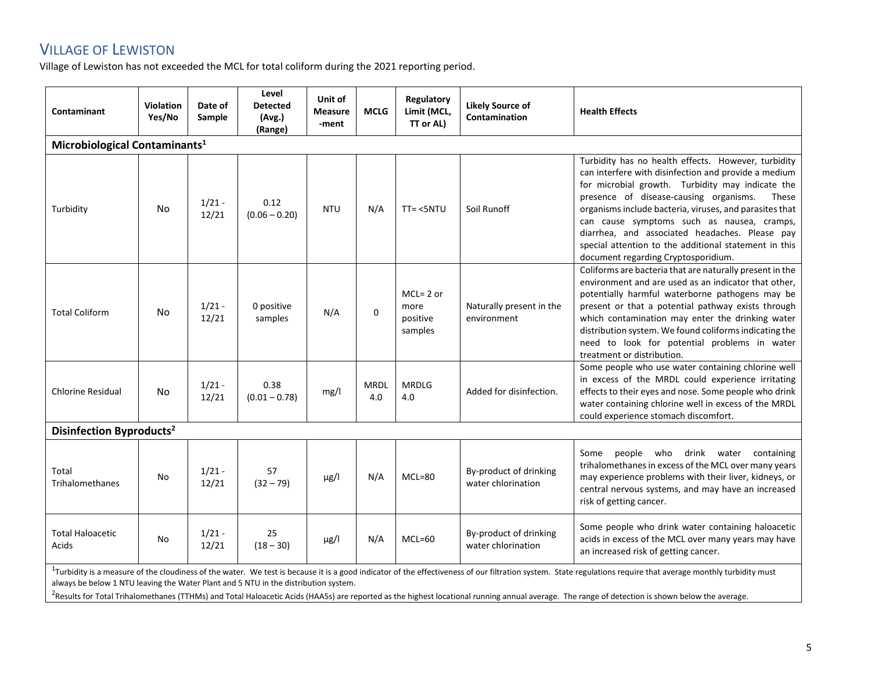## VILLAGE OF LEWISTON

Village of Lewiston has not exceeded the MCL for total coliform during the 2021 reporting period.

| Contaminant                                                                                                                                                                                                                                                                                                       | <b>Violation</b><br>Yes/No | Date of<br>Sample | Level<br><b>Detected</b><br>(Avg.)<br>(Range) | Unit of<br><b>Measure</b><br>-ment | <b>MCLG</b>        | Regulatory<br>Limit (MCL,<br>TT or AL)      | <b>Likely Source of</b><br>Contamination     | <b>Health Effects</b>                                                                                                                                                                                                                                                                                                                                                                                                                                                         |  |
|-------------------------------------------------------------------------------------------------------------------------------------------------------------------------------------------------------------------------------------------------------------------------------------------------------------------|----------------------------|-------------------|-----------------------------------------------|------------------------------------|--------------------|---------------------------------------------|----------------------------------------------|-------------------------------------------------------------------------------------------------------------------------------------------------------------------------------------------------------------------------------------------------------------------------------------------------------------------------------------------------------------------------------------------------------------------------------------------------------------------------------|--|
| Microbiological Contaminants <sup>1</sup>                                                                                                                                                                                                                                                                         |                            |                   |                                               |                                    |                    |                                             |                                              |                                                                                                                                                                                                                                                                                                                                                                                                                                                                               |  |
| Turbidity                                                                                                                                                                                                                                                                                                         | No                         | $1/21 -$<br>12/21 | 0.12<br>$(0.06 - 0.20)$                       | NTU                                | N/A                | $TT = <5NTU$                                | Soil Runoff                                  | Turbidity has no health effects. However, turbidity<br>can interfere with disinfection and provide a medium<br>for microbial growth. Turbidity may indicate the<br>presence of disease-causing organisms.<br>These<br>organisms include bacteria, viruses, and parasites that<br>can cause symptoms such as nausea, cramps,<br>diarrhea, and associated headaches. Please pay<br>special attention to the additional statement in this<br>document regarding Cryptosporidium. |  |
| <b>Total Coliform</b>                                                                                                                                                                                                                                                                                             | <b>No</b>                  | $1/21 -$<br>12/21 | 0 positive<br>samples                         | N/A                                | 0                  | $MCL = 2$ or<br>more<br>positive<br>samples | Naturally present in the<br>environment      | Coliforms are bacteria that are naturally present in the<br>environment and are used as an indicator that other,<br>potentially harmful waterborne pathogens may be<br>present or that a potential pathway exists through<br>which contamination may enter the drinking water<br>distribution system. We found coliforms indicating the<br>need to look for potential problems in water<br>treatment or distribution.                                                         |  |
| Chlorine Residual                                                                                                                                                                                                                                                                                                 | No                         | $1/21 -$<br>12/21 | 0.38<br>$(0.01 - 0.78)$                       | mg/l                               | <b>MRDL</b><br>4.0 | <b>MRDLG</b><br>4.0                         | Added for disinfection.                      | Some people who use water containing chlorine well<br>in excess of the MRDL could experience irritating<br>effects to their eyes and nose. Some people who drink<br>water containing chlorine well in excess of the MRDL<br>could experience stomach discomfort.                                                                                                                                                                                                              |  |
| Disinfection Byproducts <sup>2</sup>                                                                                                                                                                                                                                                                              |                            |                   |                                               |                                    |                    |                                             |                                              |                                                                                                                                                                                                                                                                                                                                                                                                                                                                               |  |
| Total<br><b>Trihalomethanes</b>                                                                                                                                                                                                                                                                                   | No                         | $1/21 -$<br>12/21 | 57<br>$(32 - 79)$                             | $\mu$ g/l                          | N/A                | $MCL = 80$                                  | By-product of drinking<br>water chlorination | people who<br>drink water containing<br>Some<br>trihalomethanes in excess of the MCL over many years<br>may experience problems with their liver, kidneys, or<br>central nervous systems, and may have an increased<br>risk of getting cancer.                                                                                                                                                                                                                                |  |
| <b>Total Haloacetic</b><br>Acids                                                                                                                                                                                                                                                                                  | <b>No</b>                  | $1/21 -$<br>12/21 | 25<br>$(18 - 30)$                             | $\mu$ g/l                          | N/A                | $MCL=60$                                    | By-product of drinking<br>water chlorination | Some people who drink water containing haloacetic<br>acids in excess of the MCL over many years may have<br>an increased risk of getting cancer.                                                                                                                                                                                                                                                                                                                              |  |
| <sup>1</sup> Turbidity is a measure of the cloudiness of the water. We test is because it is a good indicator of the effectiveness of our filtration system. State regulations require that average monthly turbidity must<br>always be below 1 NTU leaving the Water Plant and 5 NTU in the distribution system. |                            |                   |                                               |                                    |                    |                                             |                                              |                                                                                                                                                                                                                                                                                                                                                                                                                                                                               |  |

<sup>2</sup>Results for Total Trihalomethanes (TTHMs) and Total Haloacetic Acids (HAA5s) are reported as the highest locational running annual average. The range of detection is shown below the average.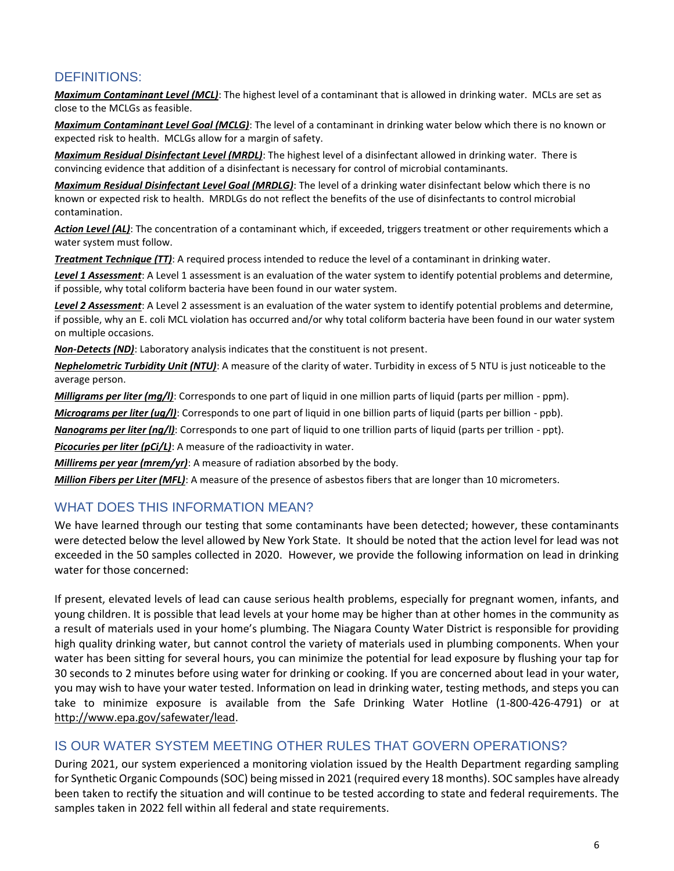## DEFINITIONS:

*Maximum Contaminant Level (MCL)*: The highest level of a contaminant that is allowed in drinking water. MCLs are set as close to the MCLGs as feasible.

*Maximum Contaminant Level Goal (MCLG)*: The level of a contaminant in drinking water below which there is no known or expected risk to health. MCLGs allow for a margin of safety.

*Maximum Residual Disinfectant Level (MRDL)*: The highest level of a disinfectant allowed in drinking water. There is convincing evidence that addition of a disinfectant is necessary for control of microbial contaminants.

*Maximum Residual Disinfectant Level Goal (MRDLG)*: The level of a drinking water disinfectant below which there is no known or expected risk to health. MRDLGs do not reflect the benefits of the use of disinfectants to control microbial contamination.

*Action Level (AL)*: The concentration of a contaminant which, if exceeded, triggers treatment or other requirements which a water system must follow.

*Treatment Technique (TT)*: A required process intended to reduce the level of a contaminant in drinking water.

*Level 1 Assessment*: A Level 1 assessment is an evaluation of the water system to identify potential problems and determine, if possible, why total coliform bacteria have been found in our water system.

*Level 2 Assessment*: A Level 2 assessment is an evaluation of the water system to identify potential problems and determine, if possible, why an E. coli MCL violation has occurred and/or why total coliform bacteria have been found in our water system on multiple occasions.

*Non-Detects (ND)*: Laboratory analysis indicates that the constituent is not present.

*Nephelometric Turbidity Unit (NTU)*: A measure of the clarity of water. Turbidity in excess of 5 NTU is just noticeable to the average person.

*Milligrams per liter (mg/l)*: Corresponds to one part of liquid in one million parts of liquid (parts per million - ppm).

*Micrograms per liter (ug/l)*: Corresponds to one part of liquid in one billion parts of liquid (parts per billion - ppb).

*Nanograms per liter (ng/l)*: Corresponds to one part of liquid to one trillion parts of liquid (parts per trillion - ppt).

**Picocuries per liter (pCi/L)**: A measure of the radioactivity in water.

*Millirems per year (mrem/yr)*: A measure of radiation absorbed by the body.

*Million Fibers per Liter (MFL)*: A measure of the presence of asbestos fibers that are longer than 10 micrometers.

#### WHAT DOES THIS INFORMATION MEAN?

We have learned through our testing that some contaminants have been detected; however, these contaminants were detected below the level allowed by New York State. It should be noted that the action level for lead was not exceeded in the 50 samples collected in 2020. However, we provide the following information on lead in drinking water for those concerned:

If present, elevated levels of lead can cause serious health problems, especially for pregnant women, infants, and young children. It is possible that lead levels at your home may be higher than at other homes in the community as a result of materials used in your home's plumbing. The Niagara County Water District is responsible for providing high quality drinking water, but cannot control the variety of materials used in plumbing components. When your water has been sitting for several hours, you can minimize the potential for lead exposure by flushing your tap for 30 seconds to 2 minutes before using water for drinking or cooking. If you are concerned about lead in your water, you may wish to have your water tested. Information on lead in drinking water, testing methods, and steps you can take to minimize exposure is available from the Safe Drinking Water Hotline (1-800-426-4791) or at http://www.epa.gov/safewater/lead.

#### IS OUR WATER SYSTEM MEETING OTHER RULES THAT GOVERN OPERATIONS?

During 2021, our system experienced a monitoring violation issued by the Health Department regarding sampling for Synthetic Organic Compounds (SOC) being missed in 2021 (required every 18 months). SOC samples have already been taken to rectify the situation and will continue to be tested according to state and federal requirements. The samples taken in 2022 fell within all federal and state requirements.